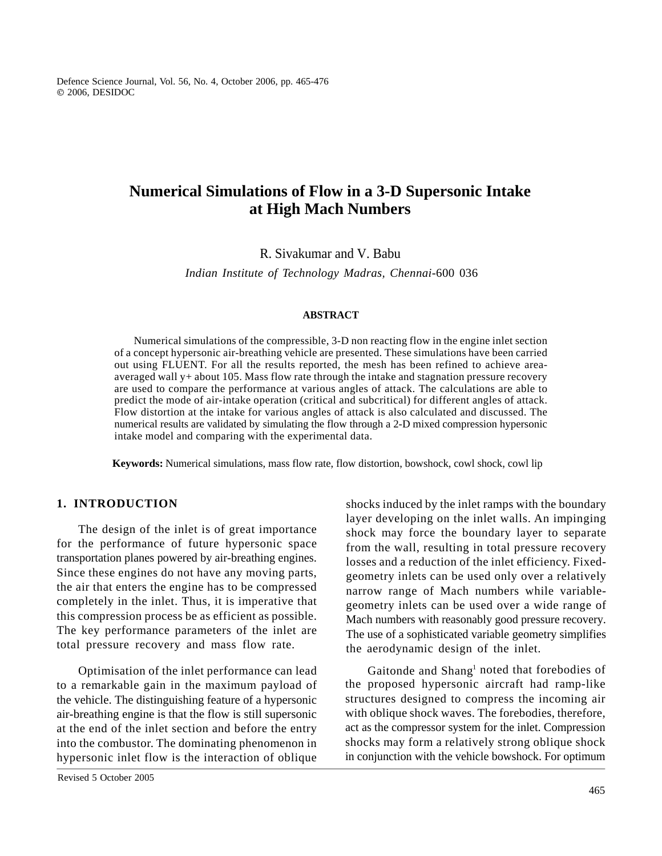Defence Science Journal, Vol. 56, No. 4, October 2006, pp. 465-476 2006, DESIDOC

# **Numerical Simulations of Flow in a 3-D Supersonic Intake at High Mach Numbers**

R. Sivakumar and V. Babu

*Indian Institute of Technology Madras, Chennai-*600 036

## **ABSTRACT**

Numerical simulations of the compressible, 3-D non reacting flow in the engine inlet section of a concept hypersonic air-breathing vehicle are presented. These simulations have been carried out using FLUENT. For all the results reported, the mesh has been refined to achieve areaaveraged wall y+ about 105. Mass flow rate through the intake and stagnation pressure recovery are used to compare the performance at various angles of attack. The calculations are able to predict the mode of air-intake operation (critical and subcritical) for different angles of attack. Flow distortion at the intake for various angles of attack is also calculated and discussed. The numerical results are validated by simulating the flow through a 2-D mixed compression hypersonic intake model and comparing with the experimental data.

**Keywords:** Numerical simulations, mass flow rate, flow distortion, bowshock, cowl shock, cowl lip

The design of the inlet is of great importance for the performance of future hypersonic space transportation planes powered by air-breathing engines. Since these engines do not have any moving parts, the air that enters the engine has to be compressed completely in the inlet. Thus, it is imperative that this compression process be as efficient as possible. The key performance parameters of the inlet are total pressure recovery and mass flow rate.

to a remarkable gain in the maximum payload of the vehicle. The distinguishing feature of a hypersonic air-breathing engine is that the flow is still supersonic at the end of the inlet section and before the entry into the combustor. The dominating phenomenon in hypersonic inlet flow is the interaction of oblique

Revised 5 October 2005

**1. INTRODUCTION** shocks induced by the inlet ramps with the boundary layer developing on the inlet walls. An impinging shock may force the boundary layer to separate from the wall, resulting in total pressure recovery losses and a reduction of the inlet efficiency. Fixedgeometry inlets can be used only over a relatively narrow range of Mach numbers while variablegeometry inlets can be used over a wide range of Mach numbers with reasonably good pressure recovery. The use of a sophisticated variable geometry simplifies the aerodynamic design of the inlet.

Optimisation of the inlet performance can lead Gaitonde and Shang<sup>1</sup> noted that forebodies of the proposed hypersonic aircraft had ramp-like structures designed to compress the incoming air with oblique shock waves. The forebodies, therefore, act as the compressor system for the inlet. Compression shocks may form a relatively strong oblique shock in conjunction with the vehicle bowshock. For optimum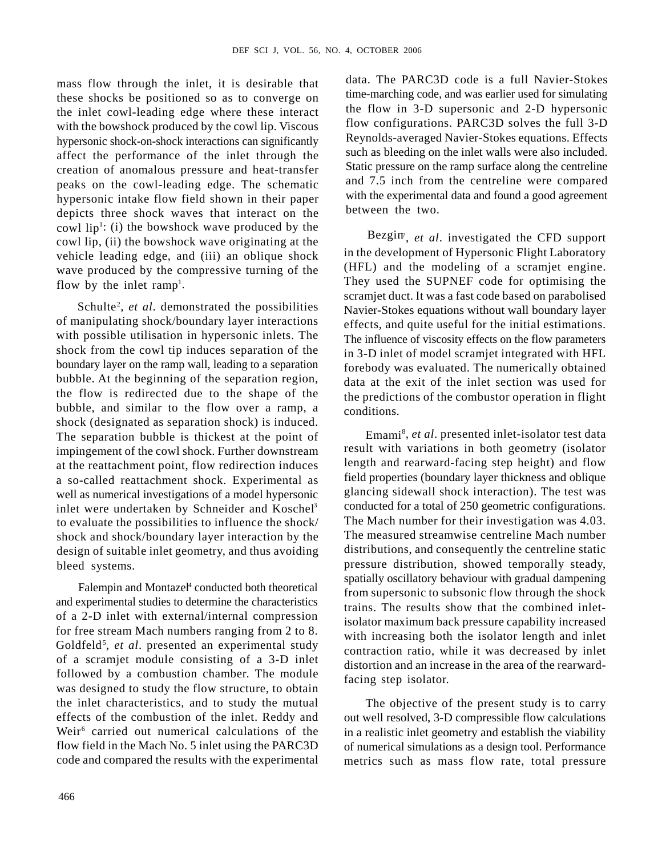mass flow through the inlet, it is desirable that these shocks be positioned so as to converge on the inlet cowl-leading edge where these interact with the bowshock produced by the cowl lip. Viscous hypersonic shock-on-shock interactions can significantly affect the performance of the inlet through the creation of anomalous pressure and heat-transfer peaks on the cowl-leading edge. The schematic hypersonic intake flow field shown in their paper depicts three shock waves that interact on the cowl lip<sup>1</sup>: (i) the bowshock wave produced by the  $P_{\text{infinite}}$ cowl lip, (ii) the bowshock wave originating at the vehicle leading edge, and (iii) an oblique shock wave produced by the compressive turning of the

of manipulating shock/boundary layer interactions with possible utilisation in hypersonic inlets. The shock from the cowl tip induces separation of the boundary layer on the ramp wall, leading to a separation bubble. At the beginning of the separation region, the flow is redirected due to the shape of the bubble, and similar to the flow over a ramp, a conditions. shock (designated as separation shock) is induced. The separation bubble is thickest at the point of impingement of the cowl shock. Further downstream at the reattachment point, flow redirection induces a so-called reattachment shock. Experimental as well as numerical investigations of a model hypersonic inlet were undertaken by Schneider and Koschel<sup>3</sup> to evaluate the possibilities to influence the shock/ shock and shock/boundary layer interaction by the design of suitable inlet geometry, and thus avoiding

Falempin and Montazel<sup>4</sup> conducted both theoretical and experimental studies to determine the characteristics of a 2-D inlet with external/internal compression for free stream Mach numbers ranging from 2 to 8. of a scramjet module consisting of a 3-D inlet followed by a combustion chamber. The module was designed to study the flow structure, to obtain the inlet characteristics, and to study the mutual effects of the combustion of the inlet. Reddy and out well resolved, 3-D compressible flow calculations Weir<sup>6</sup> carried out numerical calculations of the in a realistic inlet geometry and establish the viability flow field in the Mach No. 5 inlet using the PARC3D code and compared the results with the experimental metrics such as mass flow rate, total pressure

data. The PARC3D code is a full Navier-Stokes time-marching code, and was earlier used for simulating the flow in 3-D supersonic and 2-D hypersonic flow configurations. PARC3D solves the full 3-D Reynolds-averaged Navier-Stokes equations. Effects such as bleeding on the inlet walls were also included. Static pressure on the ramp surface along the centreline and 7.5 inch from the centreline were compared with the experimental data and found a good agreement between the two.

flow by the inlet ramp<sup>1</sup>. They used the SUPNEF code for optimising the Schulte<sup>2</sup>, et al. demonstrated the possibilities Navier-Stokes equations without wall boundary layer Bezgin<sup>, et al. investigated the CFD support</sup> in the development of Hypersonic Flight Laboratory (HFL) and the modeling of a scramjet engine. scramjet duct. It was a fast code based on parabolised effects, and quite useful for the initial estimations. The influence of viscosity effects on the flow parameters in 3-D inlet of model scramjet integrated with HFL forebody was evaluated. The numerically obtained data at the exit of the inlet section was used for the predictions of the combustor operation in flight conditions.

bleed systems. pressure distribution, showed temporally steady, conducted both theoretical from supersonic to subsonic flow through the shock Goldfeld<sup>5</sup>, *et al.* presented an experimental study<br>contraction ratio, while it was decreased by inlet Emami8 , *et al*. presented inlet-isolator test data result with variations in both geometry (isolator length and rearward-facing step height) and flow field properties (boundary layer thickness and oblique glancing sidewall shock interaction). The test was conducted for a total of 250 geometric configurations. The Mach number for their investigation was 4.03. The measured streamwise centreline Mach number distributions, and consequently the centreline static spatially oscillatory behaviour with gradual dampening trains. The results show that the combined inletisolator maximum back pressure capability increased with increasing both the isolator length and inlet contraction ratio, while it was decreased by inlet distortion and an increase in the area of the rearwardfacing step isolator.

> The objective of the present study is to carry of numerical simulations as a design tool. Performance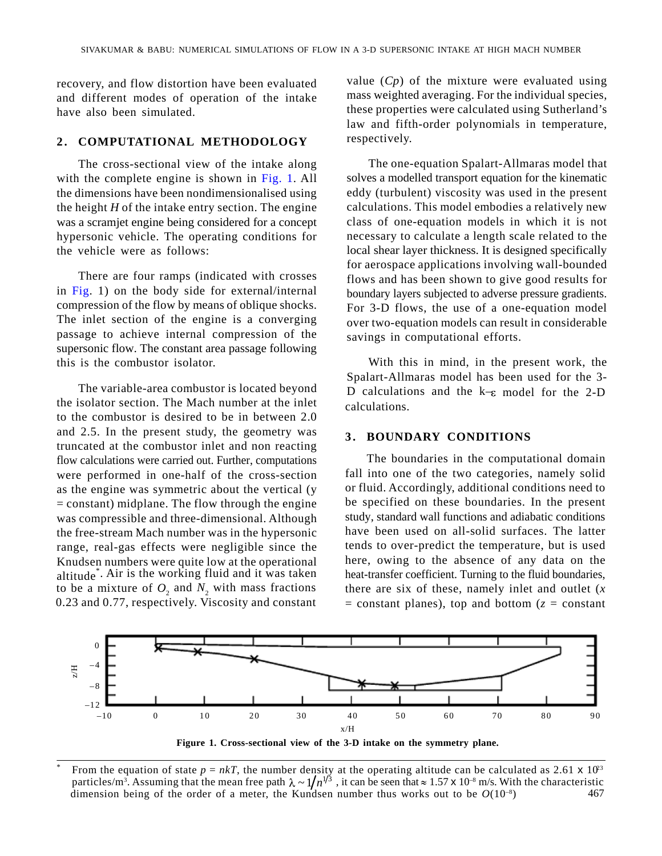recovery, and flow distortion have been evaluated and different modes of operation of the intake

was a scramjet engine being considered for a concept hypersonic vehicle. The operating conditions for

in Fig. 1) on the body side for external/internal compression of the flow by means of oblique shocks. The inlet section of the engine is a converging passage to achieve internal compression of the supersonic flow. The constant area passage following this is the combustor isolator. With this in mind, in the present work, the

SIVALUATA RABA: NOMERCAL SURLEADOR OF LEVP IS A 10 STRESONE DIRECT SURFACE INTERFERENCE INTERFERENCE INTERFERENCE INTERFERENCE INTERFERENCE INTERFERENCE INTERFERENCE INTERFERENCE INTERFERENCE INTERFERENCE INTERFERENCE INT the isolator section. The Mach number at the inlet calculations. to the combustor is desired to be in between 2.0 and 2.5. In the present study, the geometry was 3. BOUNDARY CONDITIONS truncated at the combustor inlet and non reacting flow calculations were carried out. Further, computations were performed in one-half of the cross-section as the engine was symmetric about the vertical (y  $=$  constant) midplane. The flow through the engine was compressible and three-dimensional. Although the free-stream Mach number was in the hypersonic range, real-gas effects were negligible since the Knudsen numbers were quite low at the operational altitude<sup>\*</sup>. Air is the working fluid and it was taken to be a mixture of  $O_2$  and  $N_2$  with mass fractions 0.23 and 0.77, respectively. Viscosity and constant

have also been simulated. these properties were calculated using Sutherland's value (*Cp*) of the mixture were evaluated using mass weighted averaging. For the individual species, law and fifth-order polynomials in temperature, respectively.

The cross-sectional view of the intake along The one-equation Spalart-Allmaras model that with the complete engine is shown in Fig. 1. All solves a modelled transport equation for the kinematic the dimensions have been nondimensionalised using eddy (turbulent) viscosity was used in the present the height *H* of the intake entry section. The engine calculations. This model embodies a relatively new the vehicle were as follows: local shear layer thickness. It is designed specifically There are four ramps (indicated with crosses flows and has been shown to give good results for class of one-equation models in which it is not necessary to calculate a length scale related to the for aerospace applications involving wall-bounded boundary layers subjected to adverse pressure gradients. For 3-D flows, the use of a one-equation model over two-equation models can result in considerable savings in computational efforts. **Solution** Solution and the main of the sect of the sect of the sect of the sect of the sect of the sect of the sect of the sect of the sect of the sect of the sect of the sect of the sect of the sect of the sect of the s A 3.5 SUPERSOONE INTERFACT AT INCIT MACIL SUBMIRER<br>
Value ( $Cp$ ) of the mixture were evaluated using<br>
mass weighted averaging. For the individual species,<br>
these properties were calculated using Substrants<br>
haw and fifth-

The variable-area combustor is located beyond  $D$  calculations and the k– $\epsilon$  model for the 2-D Spalart-Allmaras model has been used for the 3 calculations.

. Air is the working fluid and it was taken heat-transfer coefficient. Turning to the fluid boundaries, 0.23 and 0.77, respectively. Viscosity and constant  $=$  constant planes), top and bottom ( $z =$  constant The boundaries in the computational domain fall into one of the two categories, namely solid or fluid. Accordingly, additional conditions need to be specified on these boundaries. In the present study, standard wall functions and adiabatic conditions have been used on all-solid surfaces. The latter tends to over-predict the temperature, but is used here, owing to the absence of any data on the there are six of these, namely inlet and outlet (*x*



**Figure 1. Cross-sectional view of the 3-D intake on the symmetry plane.**

<sup>467</sup> <sup>\*</sup> From the equation of state  $p = nkT$ , the number density at the operating altitude can be calculated as 2.61 x 10<sup>3</sup> particles/m<sup>3</sup>. Assuming that the mean free path  $\lambda \sim 1/n^{1/3}$ , it can be seen that  $\approx 1.57 \times 10^{-8}$  m/s. With the characteristic dimension being of the order of a meter, the Kundsen number thus works out to be  $O(10^{-8})$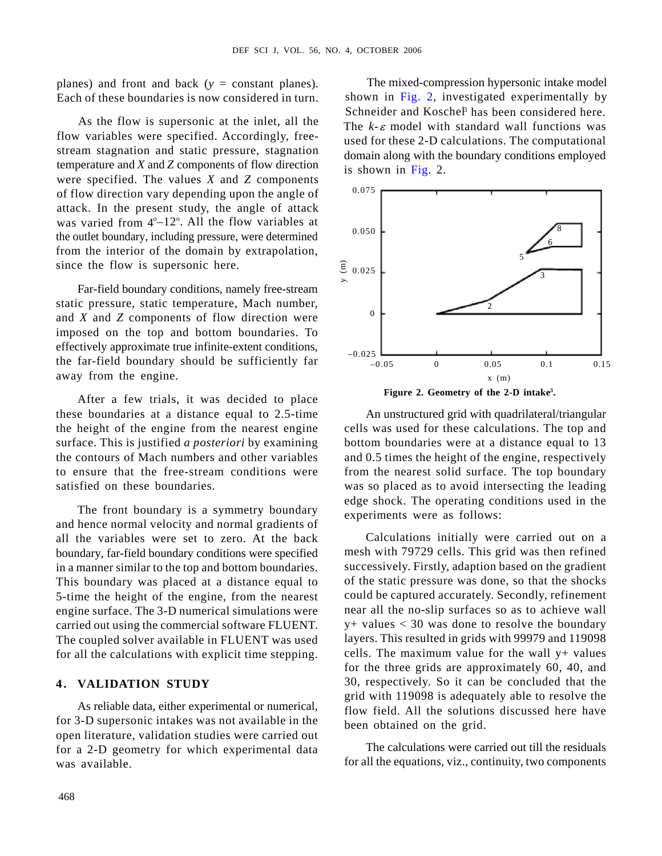planes) and front and back (*y* = constant planes). Each of these boundaries is now considered in turn. Shown in Fig. 2, investigated experimentally by

As the flow is supersonic at the inlet, all the flow variables were specified. Accordingly, freestream stagnation and static pressure, stagnation temperature and *X* and *Z* components of flow direction were specified. The values  $\overline{X}$  and  $\overline{Z}$  components  $\overline{X}$  and  $\overline{Y}$  and  $\overline{Y}$  components  $\overline{Y}$  and  $\overline{Y}$  and  $\overline{Y}$  and  $\overline{Y}$  and  $\overline{Y}$  and  $\overline{Y}$  and  $\overline{Y}$  and  $\overline{Y}$  and  $\overline{Y}$  an of flow direction vary depending upon the angle of attack. In the present study, the angle of attack the outlet boundary, including pressure, were determined from the interior of the domain by extrapolation, since the flow is supersonic here.  $\hat{\mathbf{\epsilon}}_{0.025}$ 

Far-field boundary conditions, namely free-stream static pressure, static temperature, Mach number,<br>and Y and Z components of flam direction were and *X* and *Z* components of flow direction were imposed on the top and bottom boundaries. To effectively approximate true infinite-extent conditions,  $_{-0.025}$ away from the engine.  $x(m)$ 

After a few trials, it was decided to place these boundaries at a distance equal to 2.5-time the height of the engine from the nearest engine cells was used for these calculations. The top and surface. This is justified *a posteriori* by examining the contours of Mach numbers and other variables and 0.5 times the height of the engine, respectively to ensure that the free-stream conditions were from the nearest solid surface. The top boundary satisfied on these boundaries. was so placed as to avoid intersecting the leading

The front boundary is a symmetry boundary and hence normal velocity and normal gradients of all the variables were set to zero. At the back boundary, far-field boundary conditions were specified in a manner similar to the top and bottom boundaries. This boundary was placed at a distance equal to 5-time the height of the engine, from the nearest engine surface. The 3-D numerical simulations were carried out using the commercial software FLUENT. The coupled solver available in FLUENT was used for all the calculations with explicit time stepping.

As reliable data, either experimental or numerical, for 3-D supersonic intakes was not available in the open literature, validation studies were carried out for a 2-D geometry for which experimental data was available. for all the equations, viz., continuity, two components

The mixed-compression hypersonic intake model Schneider and Kosche<sup>p</sup> has been considered here. The  $k - \varepsilon$  model with standard wall functions was used for these 2-D calculations. The computational domain along with the boundary conditions employed is shown in Fig. 2.



An unstructured grid with quadrilateral/triangular bottom boundaries were at a distance equal to 13 edge shock. The operating conditions used in the experiments were as follows:

Calculations initially were carried out on a mesh with 79729 cells. This grid was then refined successively. Firstly, adaption based on the gradient of the static pressure was done, so that the shocks could be captured accurately. Secondly, refinement near all the no-slip surfaces so as to achieve wall y+ values < 30 was done to resolve the boundary layers. This resulted in grids with 99979 and 119098 cells. The maximum value for the wall  $y$ + values for the three grids are approximately 60, 40, and 30, respectively. So it can be concluded that the grid with 119098 is adequately able to resolve the flow field. All the solutions discussed here have been obtained on the grid.

The calculations were carried out till the residuals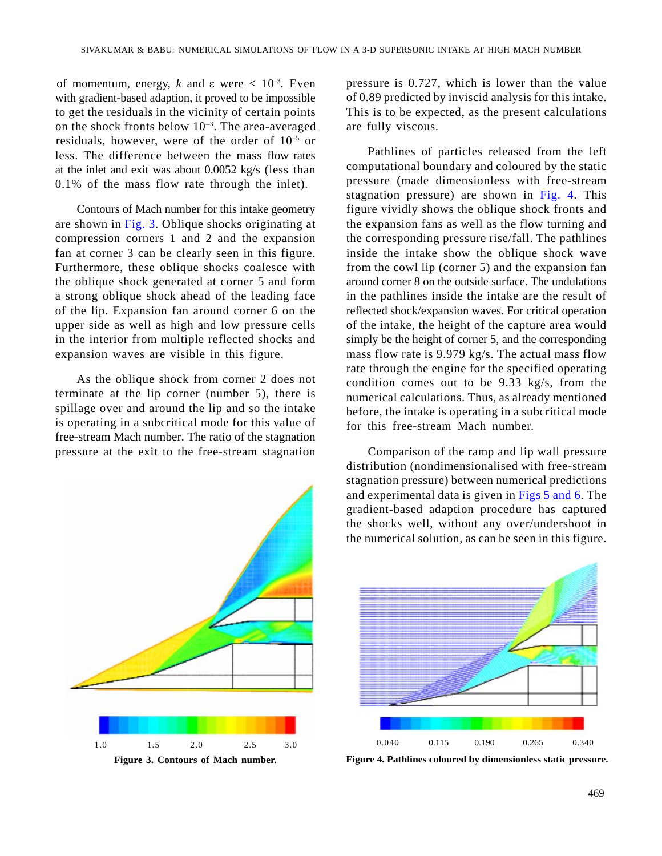of momentum, energy, *k* and  $\varepsilon$  were  $\lt$  10<sup>-3</sup>. Even with gradient-based adaption, it proved to be impossible to get the residuals in the vicinity of certain points on the shock fronts below  $10^{-3}$ . The area-averaged residuals, however, were of the order of  $10^{-5}$  or less. The difference between the mass flow rates at the inlet and exit was about 0.0052 kg/s (less than 0.1% of the mass flow rate through the inlet).

Furthermore, these oblique shocks coalesce with the oblique shock generated at corner 5 and form of the lip. Expansion fan around corner 6 on the

As the oblique shock from corner 2 does not terminate at the lip corner (number 5), there is spillage over and around the lip and so the intake is operating in a subcritical mode for this value of free-stream Mach number. The ratio of the stagnation pressure at the exit to the free-stream stagnation



pressure is 0.727, which is lower than the value of 0.89 predicted by inviscid analysis for this intake. This is to be expected, as the present calculations are fully viscous.

Contours of Mach number for this intake geometry figure vividly shows the oblique shock fronts and are shown in Fig. 3. Oblique shocks originating at the expansion fans as well as the flow turning and compression corners 1 and 2 and the expansion the corresponding pressure rise/fall. The pathlines fan at corner 3 can be clearly seen in this figure. inside the intake show the oblique shock wave a strong oblique shock ahead of the leading face in the pathlines inside the intake are the result of upper side as well as high and low pressure cells of the intake, the height of the capture area would in the interior from multiple reflected shocks and simply be the height of corner 5, and the corresponding expansion waves are visible in this figure. mass flow rate is 9.979 kg/s. The actual mass flow Pathlines of particles released from the left computational boundary and coloured by the static pressure (made dimensionless with free-stream stagnation pressure) are shown in Fig. 4. This from the cowl lip (corner 5) and the expansion fan around corner 8 on the outside surface. The undulations reflected shock/expansion waves. For critical operation rate through the engine for the specified operating condition comes out to be 9.33 kg/s, from the numerical calculations. Thus, as already mentioned before, the intake is operating in a subcritical mode for this free-stream Mach number. ACCAL A BASE HOGEICAL BREUZIONS OF HOW IN 3 2.0 201935/000 ENDS AT CHE SOCIEDATE AND THE CHE SOCIEDATE CONTINUES IN THE CHE SOCIEDATE CONTINUES IN THE CHE SOCIEDATE CONTINUES IN THE CHE SOCIEDATE CONTINUES IN THE CHE SOCI

Comparison of the ramp and lip wall pressure distribution (nondimensionalised with free-stream stagnation pressure) between numerical predictions and experimental data is given in Figs 5 and 6. The gradient-based adaption procedure has captured the shocks well, without any over/undershoot in the numerical solution, as can be seen in this figure.



**Figure 3. Contours of Mach number. Figure 4. Pathlines coloured by dimensionless static pressure.**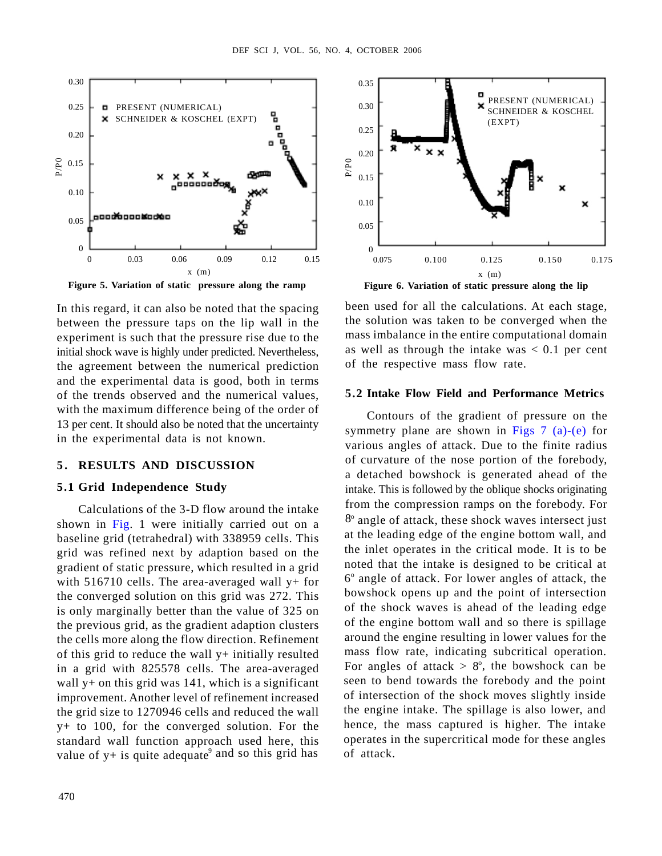

**Figure 5. Variation of static pressure along the ramp**

In this regard, it can also be noted that the spacing between the pressure taps on the lip wall in the experiment is such that the pressure rise due to the initial shock wave is highly under predicted. Nevertheless, the agreement between the numerical prediction and the experimental data is good, both in terms of the trends observed and the numerical values, 5.2 Intake Flow Field and Performance Metrics with the maximum difference being of the order of 13 per cent. It should also be noted that the uncertainty in the experimental data is not known.

Calculations of the 3-D flow around the intake shown in Fig. 1 were initially carried out on a baseline grid (tetrahedral) with 338959 cells. This grid was refined next by adaption based on the gradient of static pressure, which resulted in a grid with 516710 cells. The area-averaged wall  $y+$  for the converged solution on this grid was 272. This is only marginally better than the value of 325 on the previous grid, as the gradient adaption clusters the cells more along the flow direction. Refinement of this grid to reduce the wall y+ initially resulted in a grid with 825578 cells. The area-averaged wall  $y+$  on this grid was 141, which is a significant improvement. Another level of refinement increased the grid size to 1270946 cells and reduced the wall y+ to 100, for the converged solution. For the standard wall function approach used here, this value of  $y +$  is quite adequate<sup>9</sup> and so this grid has of attack.



been used for all the calculations. At each stage, the solution was taken to be converged when the mass imbalance in the entire computational domain as well as through the intake was  $< 0.1$  per cent of the respective mass flow rate.

**EXAMPLE CONSULTS AND A SCIENCISE AND <br>
SERVICES A SCIENCISE AND CONSULTS AND A SCIENCISE CONSULTS AND A SURFACE CONSULTS AND A SURFACE OF THE CONSULTS AND A SURFACE OF THE CONSULTS AND A SURFACE OF THE CONSULTS AND A SUR EXAMPLE CONSULTERING (ACCORDING THE CONSULTERING)**<br> **5.1 Grid Independence Study** (according to the study of the study of the study of the study of the study of the study of the study of the study of the study of the stu **4. OCTONER 2006**<br> **5.25**<br> **5.25**<br> **5.27**<br> **5.27**<br> **5.27**<br> **5.27**<br> **5.27**<br> **5.27**<br> **5.27**<br> **5.27**<br> **5.28**<br> **5.28**<br> **7.38**<br> **7.48**<br> **7.48**<br> **7.48**<br> **7.48**<br> **7.48**<br> **7.48**<br> **7.48**<br> **7.48**<br> **7.48**<br> **7.48**<br> **7.48**<br> **1.58**<br> **1** Contours of the gradient of pressure on the symmetry plane are shown in Figs  $7$  (a)-(e) for various angles of attack. Due to the finite radius of curvature of the nose portion of the forebody, a detached bowshock is generated ahead of the intake. This is followed by the oblique shocks originating from the compression ramps on the forebody. For 8<sup>o</sup> angle of attack, these shock waves intersect just at the leading edge of the engine bottom wall, and the inlet operates in the critical mode. It is to be noted that the intake is designed to be critical at 6 o angle of attack. For lower angles of attack, the bowshock opens up and the point of intersection of the shock waves is ahead of the leading edge of the engine bottom wall and so there is spillage around the engine resulting in lower values for the mass flow rate, indicating subcritical operation. For angles of attack  $> 8^\circ$ , the bowshock can be seen to bend towards the forebody and the point of intersection of the shock moves slightly inside the engine intake. The spillage is also lower, and hence, the mass captured is higher. The intake operates in the supercritical mode for these angles of attack.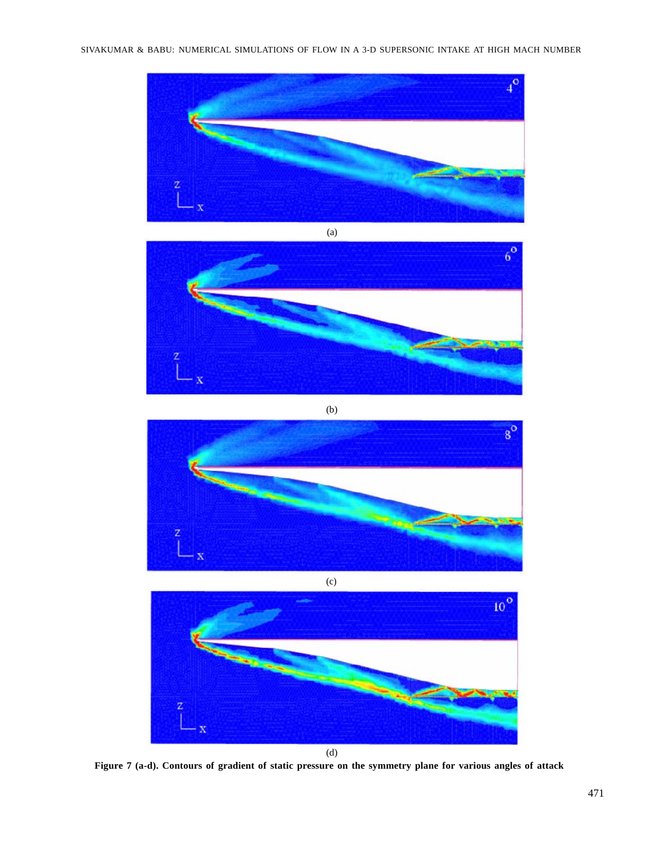



(b)





**Figure 7 (a-d). Contours of gradient of static pressure on the symmetry plane for various angles of attack**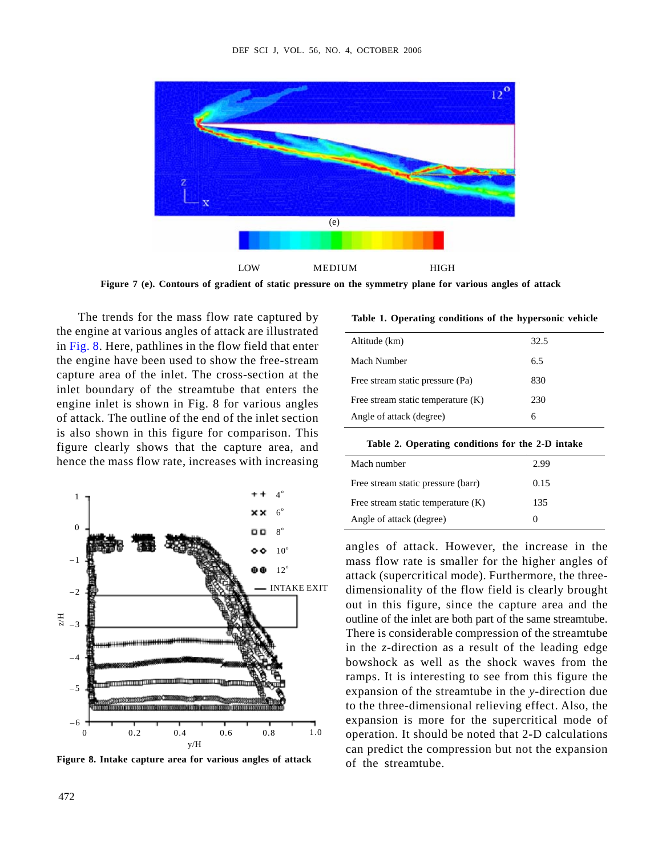

**Figure 7 (e). Contours of gradient of static pressure on the symmetry plane for various angles of attack**

The trends for the mass flow rate captured by the engine at various angles of attack are illustrated in Fig. 8. Here, pathlines in the flow field that enter the engine have been used to show the free-stream capture area of the inlet. The cross-section at the inlet boundary of the streamtube that enters the engine inlet is shown in Fig. 8 for various angles of attack. The outline of the end of the inlet section is also shown in this figure for comparison. This figure clearly shows that the capture area, and hence the mass flow rate, increases with increasing



**Figure 8. Intake capture area for various angles of attack**

**Table 1. Operating conditions of the hypersonic vehicle**

| Altitude (km)                      | 325<br>ر… د |
|------------------------------------|-------------|
| Mach Number                        | 6.5         |
| Free stream static pressure (Pa)   | 830         |
| Free stream static temperature (K) | 230         |
| Angle of attack (degree)           |             |

| Table 2. Operating conditions for the 2-1<br>2-D intake |  |  |
|---------------------------------------------------------|--|--|
|                                                         |  |  |

| creasing | Mach number                        | 2.99 |
|----------|------------------------------------|------|
|          | Free stream static pressure (barr) | 0.15 |
|          | Free stream static temperature (K) | 135  |
|          | Angle of attack (degree)           |      |

 $_{10}^{\circ}$  angles of attack. However, the increase in the mass flow rate is smaller for the higher angles of 12<sup>o</sup> attack (supercritical mode). Furthermore, the three-INTAKE EXIT dimensionality of the flow field is clearly brought out in this figure, since the capture area and the outline of the inlet are both part of the same streamtube. There is considerable compression of the streamtube in the *z*-direction as a result of the leading edge bowshock as well as the shock waves from the ramps. It is interesting to see from this figure the expansion of the streamtube in the *y*-direction due to the three-dimensional relieving effect. Also, the expansion is more for the supercritical mode of 0 0.2 0.4 0.6 0.8 1.0 operation. It should be noted that 2-D calculations can predict the compression but not the expansion of the streamtube.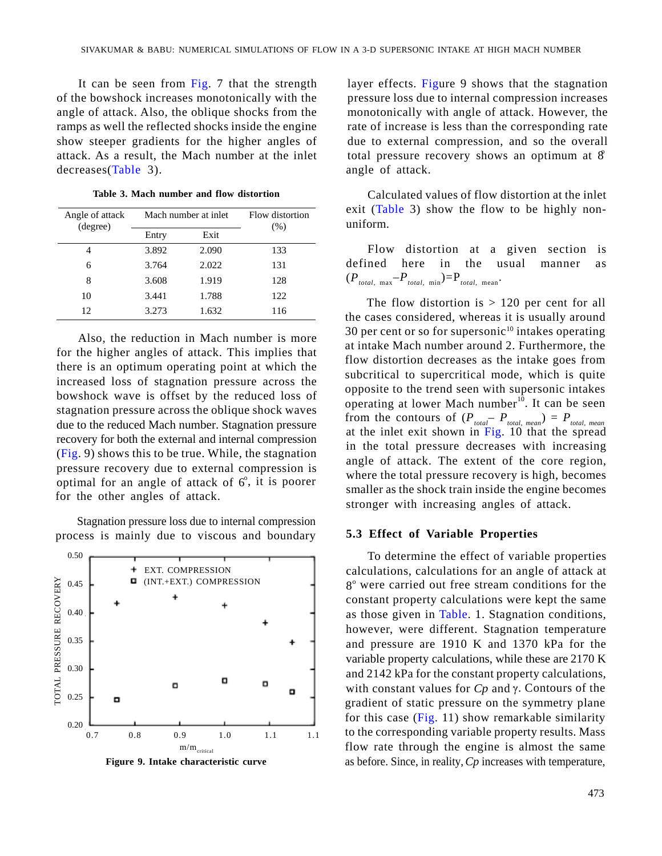attack. As a result, the Mach number at the inlet decreases(Table 3).

| Angle of attack | Mach number at inlet |       | Flow distortion | exit (Table 3) show the flow to be highly non-<br>uniform. |
|-----------------|----------------------|-------|-----------------|------------------------------------------------------------|
| (degree)        | Entry                | Exit  | (% )            |                                                            |
|                 | 3.892                | 2.090 | 133             | Flow distortion at a given section is                      |
|                 | .,764                | 2.022 | 131             | defined here in the<br>usual<br>manner as                  |
|                 | .608                 | 1.919 | 128             | $(P_{total, max} - P_{total, min}) = P_{total, mean}$ .    |
|                 | 3.441                | 1.788 | 122             | The flow distortion is $> 120$ per cent for all            |
|                 | .273                 | 1.632 | 116             | the cases considered whereas it is usually around          |

Also, the reduction in Mach number is more for the higher angles of attack. This implies that there is an optimum operating point at which the increased loss of stagnation pressure across the bowshock wave is offset by the reduced loss of stagnation pressure across the oblique shock waves due to the reduced Mach number. Stagnation pressure recovery for both the external and internal compression (Fig. 9) shows this to be true. While, the stagnation pressure recovery due to external compression is optimal for an angle of attack of  $6^\circ$ , it is poorer for the other angles of attack.

Stagnation pressure loss due to internal compression process is mainly due to viscous and boundary



It can be seen from Fig. 7 that the strength layer effects. Figure 9 shows that the stagnation of the bowshock increases monotonically with the pressure loss due to internal compression increases angle of attack. Also, the oblique shocks from the monotonically with angle of attack. However, the ramps as well the reflected shocks inside the engine rate of increase is less than the corresponding rate show steeper gradients for the higher angles of due to external compression, and so the overall total pressure recovery shows an optimum at  $\hat{g}$ angle of attack.

Table 3. Mach number and flow distortion Calculated values of flow distortion at the inlet exit (Table 3) show the flow to be highly nonuniform. Angle of attack Mach number at inlet Flow distortion and the case of attack Mach number at inlet Flow distortion Flow distortion  $\left(1401C\right)$  show the How to be highly hon- $\left(\%\right)$  uniform.

4 3.892 2.090 133 Flow distortion at a given section is defined here in the usual manner as 8 3.608 1.919 128  $(P_{total, max} - P_{total, min}) = P_{total, mean}$  $-P_{total, min}$ )= $P_{total, mean}$ . . 6 3.764 2.022 131 defined here in the usual manner as

12 3.273 1.632 116 the cases considered, whereas it is usually around 30 per cent or so for supersonic $10$  intakes operating at intake Mach number around 2. Furthermore, the flow distortion decreases as the intake goes from subcritical to supercritical mode, which is quite opposite to the trend seen with supersonic intakes operating at lower Mach number $10$ . It can be seen from the contours of  $(P_{total} - P_{total, mean}) = P_{total, mean}$ at the inlet exit shown in Fig. 10 that the spread in the total pressure decreases with increasing angle of attack. The extent of the core region, where the total pressure recovery is high, becomes , it is poorer smaller as the shock train inside the engine becomes stronger with increasing angles of attack.

## **5.3 Effect of Variable Properties**

EXT. COMPRESSION calculations, calculations for an angle of attack at constant property calculations were kept the same however, were different. Stagnation temperature variable property calculations, while these are 2170 K with constant values for  $C_p$  and  $\gamma$ . Contours of the for this case (Fig. 11) show remarkable similarity flow rate through the engine is almost the same **Figure 9. Intake characteristic curve** as before. Since, in reality, *Cp* increases with temperature, evectors a note symmetric metalliteration is the symmetric metalliteration in the symmetric metalliteration in the symmetric metalliteration in the symmetric metalliteration in the symmetric metalliteration in the symmetr  $_{1.1}$  to the corresponding variable property results. Mass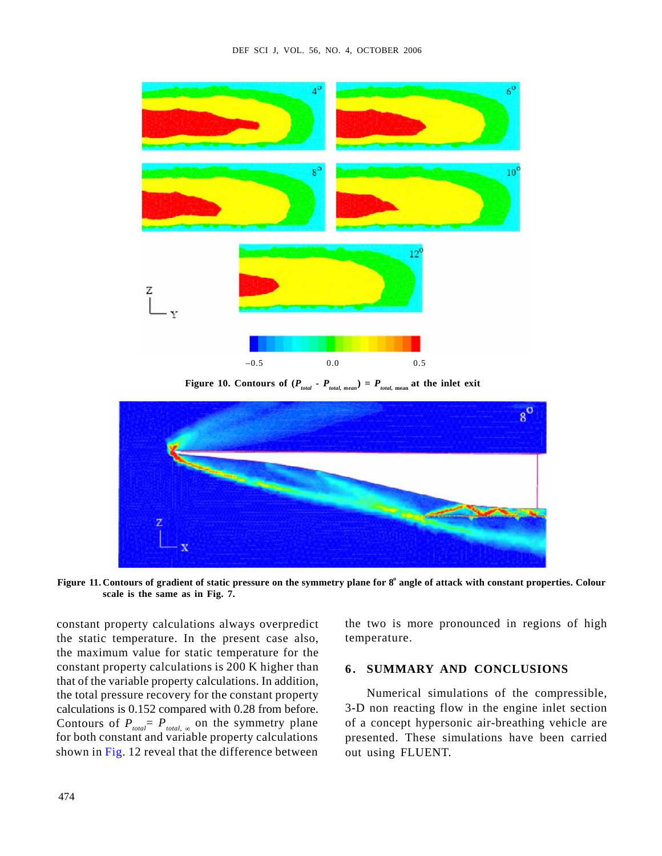

**Figure 10. Contours of (** $P_{total}$  **-**  $P_{total, mean}$ **) =**  $P_{total, mean}$  **at the inlet exit** 



**scale is the same as in Fig. 7.**

constant property calculations always overpredict the static temperature. In the present case also, the maximum value for static temperature for the constant property calculations is 200 K higher than 6. SUMMARY AND CONCLUSIONS that of the variable property calculations. In addition, the total pressure recovery for the constant property calculations is 0.152 compared with 0.28 from before. Contours of  $P_{total} = P_{total}$ , on the symmetry plane of a concept hypersonic air-breathing vehicle are for both constant and variable property calculations shown in Fig. 12 reveal that the difference between

the two is more pronounced in regions of high temperature.

Numerical simulations of the compressible, 3-D non reacting flow in the engine inlet section of a concept hypersonic air-breathing vehicle are presented. These simulations have been carried out using FLUENT.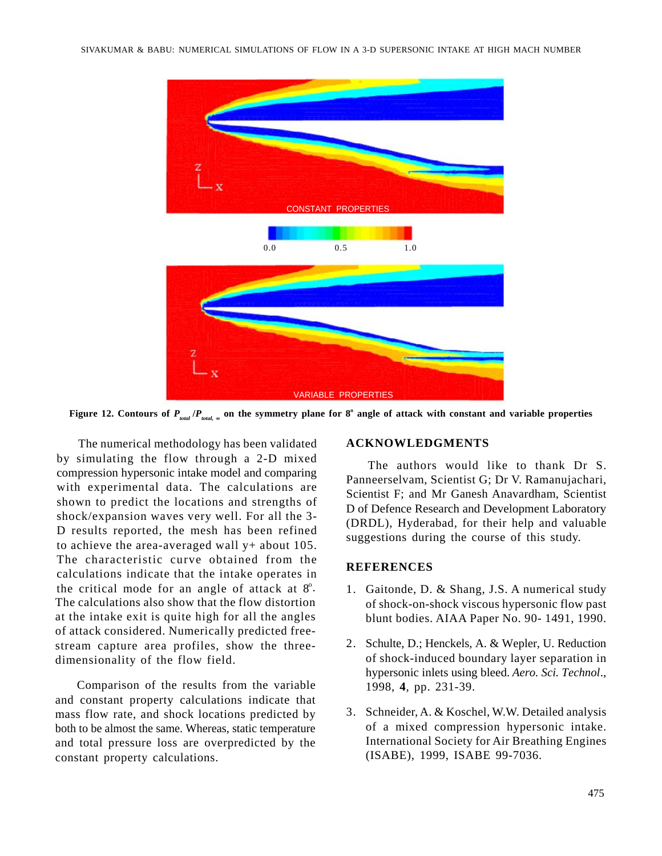

**Figure 12. Contours of**  $P_{total}$  **/** $P_{total}$  $_{\infty}$  **on the symmetry plane for 8<sup>o</sup> angle of attack with constant and variable properties** 

The numerical methodology has been validated ACKNOWLEDGMENTS by simulating the flow through a 2-D mixed compression hypersonic intake model and comparing with experimental data. The calculations are shown to predict the locations and strengths of shock/expansion waves very well. For all the 3- D results reported, the mesh has been refined to achieve the area-averaged wall y+ about 105. The characteristic curve obtained from the **REFERENCES** calculations indicate that the intake operates in the critical mode for an angle of attack at  $8^\circ$ . 1. Gaitonde, D. & Shang, J.S. A numerical study The calculations also show that the flow distortion at the intake exit is quite high for all the angles of attack considered. Numerically predicted freestream capture area profiles, show the three-

Comparison of the results from the variable and constant property calculations indicate that mass flow rate, and shock locations predicted by 3. Schneider, A. & Koschel, W.W. Detailed analysis both to be almost the same. Whereas, static temperature and total pressure loss are overpredicted by the constant property calculations.

# **ACKNOWLEDGMENTS**

The authors would like to thank Dr S. Panneerselvam, Scientist G; Dr V. Ramanujachari, Scientist F; and Mr Ganesh Anavardham, Scientist D of Defence Research and Development Laboratory (DRDL), Hyderabad, for their help and valuable suggestions during the course of this study.

# **REFERENCES**

- of shock-on-shock viscous hypersonic flow past blunt bodies. AIAA Paper No. 90- 1491, 1990.
- dimensionality of the flow field. of shock-induced boundary layer separation in 2. Schulte, D.; Henckels, A. & Wepler, U. Reduction hypersonic inlets using bleed. *Aero. Sci. Technol*., 1998, **4**, pp. 231-39.
	- of a mixed compression hypersonic intake. International Society for Air Breathing Engines (ISABE), 1999, ISABE 99-7036.